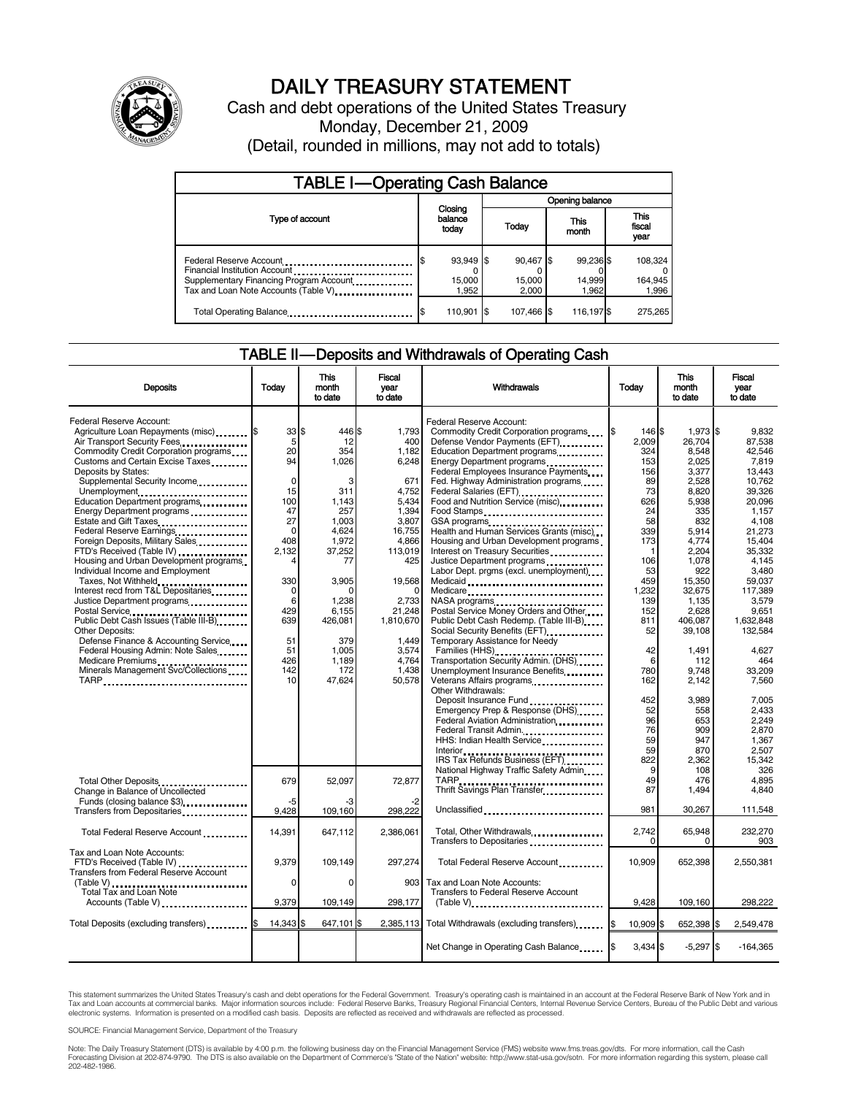

# DAILY TREASURY STATEMENT

Cash and debt operations of the United States Treasury Monday, December 21, 2009 (Detail, rounded in millions, may not add to totals)

| <b>TABLE I-Operating Cash Balance</b>                                                                                                       |                              |                              |                              |                             |  |  |  |  |
|---------------------------------------------------------------------------------------------------------------------------------------------|------------------------------|------------------------------|------------------------------|-----------------------------|--|--|--|--|
|                                                                                                                                             |                              | Opening balance              |                              |                             |  |  |  |  |
| Type of account                                                                                                                             | Closing<br>balance<br>today  | Today                        | This<br>month                | This<br>fiscal<br>year      |  |  |  |  |
| Federal Reserve Account<br>Financial Institution Account<br>Supplementary Financing Program Account<br>Tax and Loan Note Accounts (Table V) | 93,949 \$<br>15,000<br>1.952 | 90,467 \$<br>15,000<br>2.000 | 99.236 \$<br>14,999<br>1.962 | 108,324<br>164,945<br>1,996 |  |  |  |  |
| Total Operating Balance                                                                                                                     | 110,901                      | 107.466 \$                   | 116,197 \$                   | 275,265                     |  |  |  |  |

### TABLE II — Deposits and Withdrawals of Operating Cash

| <b>Deposits</b>                             | Today       | This<br>month<br>to date | Fiscal<br>vear<br>to date | Withdrawals                                 | Today      | This<br>month<br>to date | Fiscal<br>year<br>to date |  |
|---------------------------------------------|-------------|--------------------------|---------------------------|---------------------------------------------|------------|--------------------------|---------------------------|--|
|                                             |             |                          |                           |                                             |            |                          |                           |  |
| Federal Reserve Account:                    |             |                          |                           | Federal Reserve Account:                    |            |                          |                           |  |
| Agriculture Loan Repayments (misc) <b>S</b> | 33S         | 446 \$                   | 1,793                     | Commodity Credit Corporation programs       | 146 \$     | 1,973 \$                 | 9,832                     |  |
| Air Transport Security Fees                 | 5           | 12                       | 400                       | Defense Vendor Payments (EFT).              | 2,009      | 26.704                   | 87,538                    |  |
| Commodity Credit Corporation programs       | 20          | 354                      | 1,182                     | Education Department programs               | 324        | 8,548                    | 42.546                    |  |
| Customs and Certain Excise Taxes            | 94          | 1.026                    | 6,248                     | Energy Department programs                  | 153        | 2,025                    | 7.819                     |  |
| Deposits by States:                         |             |                          |                           | Federal Employees Insurance Payments        | 156        | 3,377                    | 13,443                    |  |
| Supplemental Security Income                | $\mathbf 0$ | 3                        | 671                       | Fed. Highway Administration programs        | 89         | 2,528                    | 10,762                    |  |
| Unemployment                                | 15          | 311                      | 4,752                     | Federal Salaries (EFT)                      | 73         | 8,820                    | 39.326                    |  |
| Education Department programs               | 100         | 1.143                    | 5,434                     | Food and Nutrition Service (misc)           | 626        | 5,938                    | 20.096                    |  |
| Energy Department programs                  | 47          | 257                      | 1.394                     | Food Stamps                                 | 24         | 335                      | 1.157                     |  |
| Estate and Gift Taxes                       | 27          | 1,003                    | 3,807                     | GSA programs                                | 58         | 832                      | 4,108                     |  |
| Federal Reserve Earnings                    | $\mathbf 0$ | 4,624                    | 16,755                    | Health and Human Services Grants (misc)     | 339        | 5,914                    | 21,273                    |  |
| Foreign Deposits, Military Sales            | 408         | 1,972                    | 4,866                     | Housing and Urban Development programs      | 173        | 4,774                    | 15.404                    |  |
| FTD's Received (Table IV)                   | 2.132       | 37,252                   | 113,019                   | Interest on Treasury Securities             | -1         | 2.204                    | 35.332                    |  |
| Housing and Urban Development programs      |             | 77                       | 425                       | Justice Department programs                 | 106        | 1,078                    | 4,145                     |  |
| Individual Income and Employment            |             |                          |                           | Labor Dept. prgms (excl. unemployment)      | 53         | 922                      | 3,480                     |  |
| Taxes, Not Withheld                         | 330         | 3,905                    | 19,568                    | Medicaid                                    | 459        | 15,350                   | 59.037                    |  |
| Interest recd from T&L Depositaries         | $\Omega$    |                          |                           | Medicare                                    | 1,232      | 32,675                   | 117.389                   |  |
| Justice Department programs                 | 6           | 1,238                    | 2,733                     |                                             | 139        | 1,135                    | 3,579                     |  |
|                                             | 429         | 6,155                    | 21,248                    | Postal Service Money Orders and Other       | 152        | 2,628                    | 9,651                     |  |
| Public Debt Cash Issues (Table III-B)       | 639         | 426,081                  | 1,810,670                 | Public Debt Cash Redemp. (Table III-B)      | 811        | 406,087                  | 1,632,848                 |  |
| <b>Other Deposits:</b>                      |             |                          |                           |                                             | 52         | 39,108                   | 132,584                   |  |
| Defense Finance & Accounting Service        | 51          | 379                      | 1,449                     | Temporary Assistance for Needy              |            |                          |                           |  |
| Federal Housing Admin: Note Sales           | 51          | 1.005                    | 3,574                     | Families (HHS)                              | 42         | 1.491                    | 4.627                     |  |
| Medicare Premiums                           | 426         | 1,189                    | 4,764                     | Transportation Security Admin. (DHS)        | 6          | 112                      | 464                       |  |
| Minerals Management Svc/Collections         | 142         | 172                      | 1,438                     | Unemployment Insurance Benefits             | 780        | 9,748                    | 33,209                    |  |
| TARP                                        | 10          | 47,624                   | 50,578                    | Veterans Affairs programs<br>               | 162        | 2,142                    | 7,560                     |  |
|                                             |             |                          |                           | Other Withdrawals:                          |            |                          |                           |  |
|                                             |             |                          |                           | Deposit Insurance Fund                      | 452        | 3,989                    | 7,005                     |  |
|                                             |             |                          |                           | Emergency Prep & Response (DHS)             | 52         | 558                      | 2,433                     |  |
|                                             |             |                          |                           | Federal Aviation Administration             | 96         | 653                      | 2.249                     |  |
|                                             |             |                          |                           | Federal Transit Admin.                      | 76         | 909                      | 2.870                     |  |
|                                             |             |                          |                           | HHS: Indian Health Service                  | 59         | 947                      | 1.367                     |  |
|                                             |             |                          |                           |                                             | 59         | 870                      | 2,507                     |  |
|                                             |             |                          |                           | IRS Tax Refunds Business (EFT)              | 822        | 2,362                    | 15,342                    |  |
|                                             |             |                          |                           | National Highway Traffic Safety Admin       | 9          | 108                      | 326                       |  |
| Total Other Deposits                        | 679         | 52.097                   | 72.877                    |                                             | 49         | 476                      | 4.895                     |  |
| Change in Balance of Uncollected            |             |                          |                           | TARP<br>Thrift Savings Plan Transfer        | 87         | 1,494                    | 4,840                     |  |
| Funds (closing balance \$3)                 | -5          | -3                       |                           |                                             |            |                          |                           |  |
| Transfers from Depositaries                 | 9,428       | 109,160                  | 298,222                   | Unclassified                                | 981        | 30.267                   | 111,548                   |  |
|                                             |             |                          |                           |                                             |            |                          |                           |  |
| Total Federal Reserve Account               | 14,391      | 647,112                  | 2,386,061                 | Total, Other Withdrawals                    | 2.742      | 65,948                   | 232.270                   |  |
|                                             |             |                          |                           | Transfers to Depositaries                   | $\Omega$   | $\Omega$                 | 903                       |  |
| Tax and Loan Note Accounts:                 |             |                          |                           |                                             |            |                          |                           |  |
| FTD's Received (Table IV)                   | 9,379       | 109,149                  | 297,274                   | Total Federal Reserve Account               | 10,909     | 652,398                  | 2,550,381                 |  |
| Transfers from Federal Reserve Account      |             |                          |                           |                                             |            |                          |                           |  |
| (Table V)                                   | $\Omega$    | $\Omega$                 | 903                       | Tax and Loan Note Accounts:                 |            |                          |                           |  |
| Total Tax and Loan Note                     |             |                          |                           | Transfers to Federal Reserve Account        |            |                          |                           |  |
| Accounts (Table V)                          | 9,379       | 109,149                  | 298,177                   | $(Table V)$                                 | 9,428      | 109,160                  | 298,222                   |  |
|                                             |             |                          |                           |                                             |            |                          |                           |  |
| Total Deposits (excluding transfers)        | 14,343 \$   | 647,101 \$               | 2,385,113                 | Total Withdrawals (excluding transfers) [\$ | 10,909 \$  | 652,398 \$               | 2,549,478                 |  |
|                                             |             |                          |                           | Net Change in Operating Cash Balance        | $3.434$ \$ | $-5,297$ \$              | $-164,365$                |  |
|                                             |             |                          |                           |                                             |            |                          |                           |  |

This statement summarizes the United States Treasury's cash and debt operations for the Federal Government. Treasury's operating cash is maintained in an account at the Federal Reserve Bank of New York and in<br>Tax and Loan

SOURCE: Financial Management Service, Department of the Treasury

Note: The Daily Treasury Statement (DTS) is available by 4:00 p.m. the following business day on the Financial Management Service (FMS) website www.fms.treas.gov/dts. For more information, call the Cash Forecasting Division at 202-874-9790. The DTS is also available on the Department of Commerce's "State of the Nation" website: http://www.stat-usa.gov/sotn. For more information regarding this system, please call<br>202-482-1